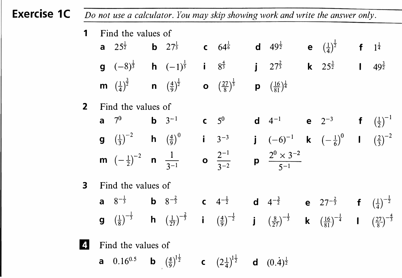| <b>Exercise 1C</b> | Do not use a calculator. You may skip showing work and write the answer only. |                    |                                                                                                     |  |                                                                                                                                                    |  |                                                    |  |                                                                                                                                                                                                                                                                                                                        |  |  |  |                     |
|--------------------|-------------------------------------------------------------------------------|--------------------|-----------------------------------------------------------------------------------------------------|--|----------------------------------------------------------------------------------------------------------------------------------------------------|--|----------------------------------------------------|--|------------------------------------------------------------------------------------------------------------------------------------------------------------------------------------------------------------------------------------------------------------------------------------------------------------------------|--|--|--|---------------------|
|                    | 1                                                                             | Find the values of |                                                                                                     |  |                                                                                                                                                    |  |                                                    |  |                                                                                                                                                                                                                                                                                                                        |  |  |  |                     |
|                    |                                                                               |                    | <b>a</b> $25^{\frac{1}{2}}$                                                                         |  | <b>b</b> $27^{\frac{1}{3}}$ <b>c</b> $64^{\frac{1}{6}}$                                                                                            |  |                                                    |  | <b>d</b> $49^{\frac{1}{2}}$ <b>e</b> $(\frac{1}{4})^{\frac{1}{2}}$                                                                                                                                                                                                                                                     |  |  |  | f $1^{\frac{1}{4}}$ |
|                    |                                                                               |                    | <b>g</b> $(-8)^{\frac{1}{3}}$ <b>h</b> $(-1)^{\frac{1}{5}}$                                         |  |                                                                                                                                                    |  |                                                    |  | i $8^{\frac{4}{3}}$ j $27^{\frac{2}{3}}$ k $25^{\frac{3}{2}}$ l                                                                                                                                                                                                                                                        |  |  |  | $49^{\frac{3}{2}}$  |
|                    |                                                                               |                    | <b>m</b> $\left(\frac{1}{4}\right)^{\frac{3}{2}}$ <b>n</b> $\left(\frac{4}{9}\right)^{\frac{1}{2}}$ |  |                                                                                                                                                    |  | <b>O</b> $\left(\frac{27}{8}\right)^{\frac{1}{3}}$ |  | <b>p</b> $\left(\frac{16}{81}\right)^{\frac{1}{4}}$                                                                                                                                                                                                                                                                    |  |  |  |                     |
|                    | 2 <sup>1</sup>                                                                | Find the values of |                                                                                                     |  |                                                                                                                                                    |  |                                                    |  |                                                                                                                                                                                                                                                                                                                        |  |  |  |                     |
|                    |                                                                               |                    | <b>a</b> $7^0$                                                                                      |  | <b>b</b> $3^{-1}$ <b>c</b> $5^{0}$                                                                                                                 |  |                                                    |  | <b>d</b> 4 <sup>-1</sup> <b>e</b> 2 <sup>-3</sup> <b>f</b> $(\frac{1}{2})^{-1}$                                                                                                                                                                                                                                        |  |  |  |                     |
|                    |                                                                               |                    | <b>g</b> $(\frac{1}{3})^{-2}$ <b>h</b> $(\frac{4}{9})^{0}$                                          |  |                                                                                                                                                    |  | $1 \t 3^{-3}$                                      |  | <b>j</b> $(-6)^{-1}$ <b>k</b> $\left(-\frac{1}{6}\right)^0$ <b>l</b> $\left(\frac{2}{3}\right)^{-2}$                                                                                                                                                                                                                   |  |  |  |                     |
|                    |                                                                               |                    | <b>m</b> $\left(-\frac{1}{2}\right)^{-2}$ <b>n</b> $\frac{1}{3-1}$                                  |  |                                                                                                                                                    |  | <b>o</b> $\frac{2^{-1}}{3^{-2}}$                   |  | <b>p</b> $\frac{2^0 \times 3^{-2}}{5^{-1}}$                                                                                                                                                                                                                                                                            |  |  |  |                     |
|                    | $\mathbf{3}$                                                                  | Find the values of |                                                                                                     |  |                                                                                                                                                    |  |                                                    |  |                                                                                                                                                                                                                                                                                                                        |  |  |  |                     |
|                    |                                                                               |                    |                                                                                                     |  |                                                                                                                                                    |  |                                                    |  | <b>a</b> $8^{-\frac{1}{3}}$ <b>b</b> $8^{-\frac{2}{3}}$ <b>c</b> $4^{-\frac{1}{2}}$ <b>d</b> $4^{-\frac{3}{2}}$ <b>e</b> $27^{-\frac{2}{3}}$ <b>f</b> $(\frac{1}{4})^{-\frac{1}{2}}$                                                                                                                                   |  |  |  |                     |
|                    |                                                                               |                    |                                                                                                     |  |                                                                                                                                                    |  |                                                    |  | <b>g</b> $\left(\frac{1}{8}\right)^{-\frac{1}{3}}$ <b>h</b> $\left(\frac{1}{27}\right)^{-\frac{2}{3}}$ <b>i</b> $\left(\frac{4}{9}\right)^{-\frac{1}{2}}$ <b>j</b> $\left(\frac{8}{27}\right)^{-\frac{1}{3}}$ <b>k</b> $\left(\frac{16}{81}\right)^{-\frac{1}{4}}$ <b>l</b> $\left(\frac{27}{8}\right)^{-\frac{4}{3}}$ |  |  |  |                     |
|                    |                                                                               | Find the values of |                                                                                                     |  |                                                                                                                                                    |  |                                                    |  |                                                                                                                                                                                                                                                                                                                        |  |  |  |                     |
|                    |                                                                               |                    |                                                                                                     |  | <b>a</b> 0.16 <sup>0.5</sup> <b>b</b> $(\frac{4}{9})^{1\frac{1}{2}}$ <b>c</b> $(2\frac{1}{4})^{1\frac{1}{2}}$ <b>d</b> $(0.\dot{4})^{\frac{1}{2}}$ |  |                                                    |  |                                                                                                                                                                                                                                                                                                                        |  |  |  |                     |